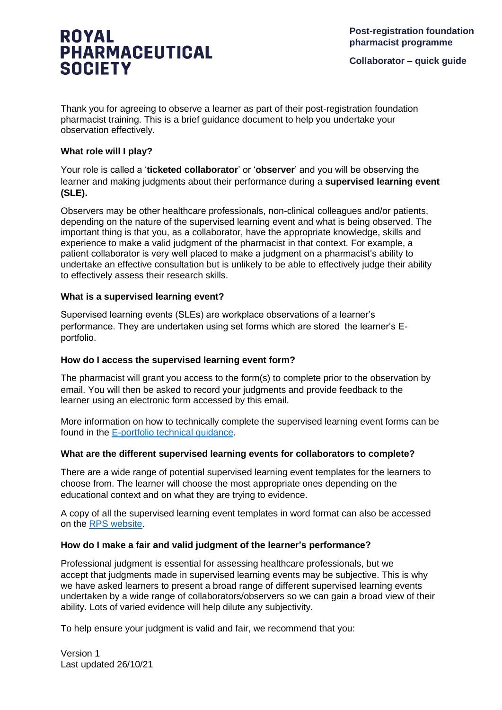# **ROYAL PHARMACEUTICAL SOCIETY**

**Collaborator – quick guide**

Thank you for agreeing to observe a learner as part of their post-registration foundation pharmacist training. This is a brief guidance document to help you undertake your observation effectively.

### **What role will I play?**

Your role is called a '**ticketed collaborator**' or '**observer**' and you will be observing the learner and making judgments about their performance during a **supervised learning event (SLE).**

Observers may be other healthcare professionals, non-clinical colleagues and/or patients, depending on the nature of the supervised learning event and what is being observed. The important thing is that you, as a collaborator, have the appropriate knowledge, skills and experience to make a valid judgment of the pharmacist in that context. For example, a patient collaborator is very well placed to make a judgment on a pharmacist's ability to undertake an effective consultation but is unlikely to be able to effectively judge their ability to effectively assess their research skills.

#### **What is a supervised learning event?**

Supervised learning events (SLEs) are workplace observations of a learner's performance. They are undertaken using set forms which are stored the learner's Eportfolio.

#### **How do I access the supervised learning event form?**

The pharmacist will grant you access to the form(s) to complete prior to the observation by email. You will then be asked to record your judgments and provide feedback to the learner using an electronic form accessed by this email.

More information on how to technically complete the supervised learning event forms can be found in the [E-portfolio technical guidance.](https://www.rpharms.com/development/credentialing/foundation/post-registration-foundation-curriculum/post-registration-foundation-e-portfolio)

#### **What are the different supervised learning events for collaborators to complete?**

There are a wide range of potential supervised learning event templates for the learners to choose from. The learner will choose the most appropriate ones depending on the educational context and on what they are trying to evidence.

A copy of all the supervised learning event templates in word format can also be accessed on the [RPS website.](https://www.rpharms.com/development/credentialing/foundation/post-registration-foundation-curriculum/post-registration-foundation-e-portfolio)

#### **How do I make a fair and valid judgment of the learner's performance?**

Professional judgment is essential for assessing healthcare professionals, but we accept that judgments made in supervised learning events may be subjective. This is why we have asked learners to present a broad range of different supervised learning events undertaken by a wide range of collaborators/observers so we can gain a broad view of their ability. Lots of varied evidence will help dilute any subjectivity.

To help ensure your judgment is valid and fair, we recommend that you:

Version 1 Last updated 26/10/21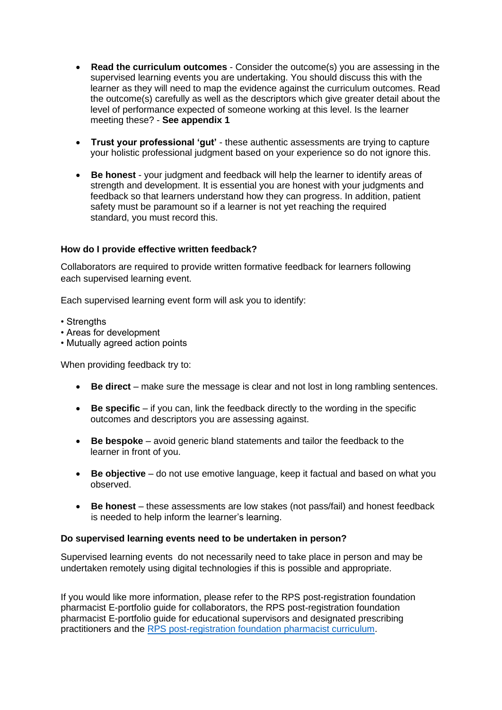- **Read the curriculum outcomes** Consider the outcome(s) you are assessing in the supervised learning events you are undertaking. You should discuss this with the learner as they will need to map the evidence against the curriculum outcomes. Read the outcome(s) carefully as well as the descriptors which give greater detail about the level of performance expected of someone working at this level. Is the learner meeting these? - **See appendix 1**
- **Trust your professional 'gut'** these authentic assessments are trying to capture your holistic professional judgment based on your experience so do not ignore this.
- **Be honest** your judgment and feedback will help the learner to identify areas of strength and development. It is essential you are honest with your judgments and feedback so that learners understand how they can progress. In addition, patient safety must be paramount so if a learner is not yet reaching the required standard, you must record this.

#### **How do I provide effective written feedback?**

Collaborators are required to provide written formative feedback for learners following each supervised learning event.

Each supervised learning event form will ask you to identify:

- Strengths
- Areas for development
- Mutually agreed action points

When providing feedback try to:

- **Be direct** make sure the message is clear and not lost in long rambling sentences.
- **Be specific** if you can, link the feedback directly to the wording in the specific outcomes and descriptors you are assessing against.
- **Be bespoke** avoid generic bland statements and tailor the feedback to the learner in front of you.
- **Be objective** do not use emotive language, keep it factual and based on what you observed.
- **Be honest** these assessments are low stakes (not pass/fail) and honest feedback is needed to help inform the learner's learning.

#### **Do supervised learning events need to be undertaken in person?**

Supervised learning events do not necessarily need to take place in person and may be undertaken remotely using digital technologies if this is possible and appropriate.

If you would like more information, please refer to the RPS post-registration foundation pharmacist E-portfolio guide for collaborators, the RPS post-registration foundation pharmacist E-portfolio guide for educational supervisors and designated prescribing practitioners and the [RPS post-registration foundation pharmacist curriculum.](https://www.rpharms.com/development/credentialing/foundation/post-registration-foundation-curriculum)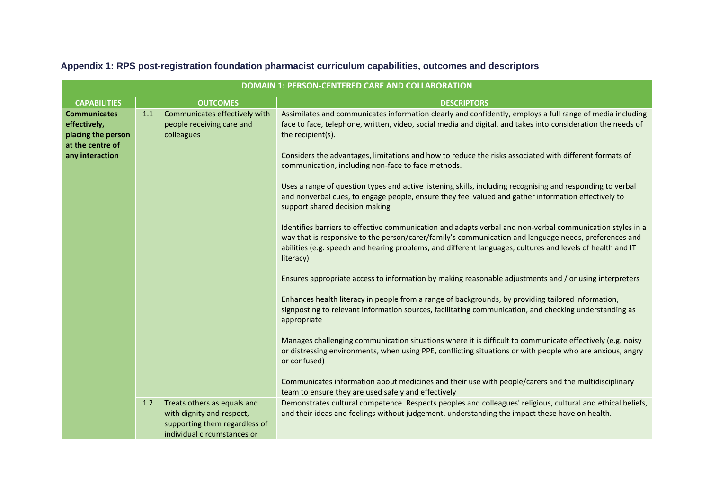|                                                                                                  |                                                                                                                                 | <b>DOMAIN 1: PERSON-CENTERED CARE AND COLLABORATION</b>                                                                                                                                                                                                                                                                                                                                                                                                                                                                                                                                                                                                                                                                                                                                                                                                                                                                                                                                                                                                                                                                                                                                                                                                                                                                                                                                                                                                                                                                                                                                                                                                                                                          |
|--------------------------------------------------------------------------------------------------|---------------------------------------------------------------------------------------------------------------------------------|------------------------------------------------------------------------------------------------------------------------------------------------------------------------------------------------------------------------------------------------------------------------------------------------------------------------------------------------------------------------------------------------------------------------------------------------------------------------------------------------------------------------------------------------------------------------------------------------------------------------------------------------------------------------------------------------------------------------------------------------------------------------------------------------------------------------------------------------------------------------------------------------------------------------------------------------------------------------------------------------------------------------------------------------------------------------------------------------------------------------------------------------------------------------------------------------------------------------------------------------------------------------------------------------------------------------------------------------------------------------------------------------------------------------------------------------------------------------------------------------------------------------------------------------------------------------------------------------------------------------------------------------------------------------------------------------------------------|
| <b>CAPABILITIES</b>                                                                              | <b>OUTCOMES</b>                                                                                                                 | <b>DESCRIPTORS</b>                                                                                                                                                                                                                                                                                                                                                                                                                                                                                                                                                                                                                                                                                                                                                                                                                                                                                                                                                                                                                                                                                                                                                                                                                                                                                                                                                                                                                                                                                                                                                                                                                                                                                               |
| <b>Communicates</b><br>effectively,<br>placing the person<br>at the centre of<br>any interaction | Communicates effectively with<br>1.1<br>people receiving care and<br>colleagues                                                 | Assimilates and communicates information clearly and confidently, employs a full range of media including<br>face to face, telephone, written, video, social media and digital, and takes into consideration the needs of<br>the recipient(s).<br>Considers the advantages, limitations and how to reduce the risks associated with different formats of<br>communication, including non-face to face methods.<br>Uses a range of question types and active listening skills, including recognising and responding to verbal<br>and nonverbal cues, to engage people, ensure they feel valued and gather information effectively to<br>support shared decision making<br>Identifies barriers to effective communication and adapts verbal and non-verbal communication styles in a<br>way that is responsive to the person/carer/family's communication and language needs, preferences and<br>abilities (e.g. speech and hearing problems, and different languages, cultures and levels of health and IT<br>literacy)<br>Ensures appropriate access to information by making reasonable adjustments and / or using interpreters<br>Enhances health literacy in people from a range of backgrounds, by providing tailored information,<br>signposting to relevant information sources, facilitating communication, and checking understanding as<br>appropriate<br>Manages challenging communication situations where it is difficult to communicate effectively (e.g. noisy<br>or distressing environments, when using PPE, conflicting situations or with people who are anxious, angry<br>or confused)<br>Communicates information about medicines and their use with people/carers and the multidisciplinary |
|                                                                                                  |                                                                                                                                 | team to ensure they are used safely and effectively                                                                                                                                                                                                                                                                                                                                                                                                                                                                                                                                                                                                                                                                                                                                                                                                                                                                                                                                                                                                                                                                                                                                                                                                                                                                                                                                                                                                                                                                                                                                                                                                                                                              |
|                                                                                                  | 1.2<br>Treats others as equals and<br>with dignity and respect,<br>supporting them regardless of<br>individual circumstances or | Demonstrates cultural competence. Respects peoples and colleagues' religious, cultural and ethical beliefs,<br>and their ideas and feelings without judgement, understanding the impact these have on health.                                                                                                                                                                                                                                                                                                                                                                                                                                                                                                                                                                                                                                                                                                                                                                                                                                                                                                                                                                                                                                                                                                                                                                                                                                                                                                                                                                                                                                                                                                    |

## **Appendix 1: RPS post-registration foundation pharmacist curriculum capabilities, outcomes and descriptors**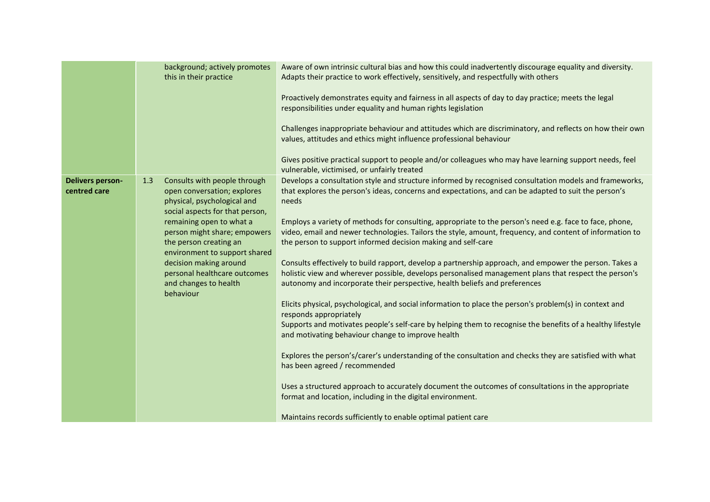|                                         | background; actively promotes<br>this in their practice                                                                              | Aware of own intrinsic cultural bias and how this could inadvertently discourage equality and diversity.<br>Adapts their practice to work effectively, sensitively, and respectfully with others                                                                                              |
|-----------------------------------------|--------------------------------------------------------------------------------------------------------------------------------------|-----------------------------------------------------------------------------------------------------------------------------------------------------------------------------------------------------------------------------------------------------------------------------------------------|
|                                         |                                                                                                                                      | Proactively demonstrates equity and fairness in all aspects of day to day practice; meets the legal<br>responsibilities under equality and human rights legislation                                                                                                                           |
|                                         |                                                                                                                                      | Challenges inappropriate behaviour and attitudes which are discriminatory, and reflects on how their own<br>values, attitudes and ethics might influence professional behaviour                                                                                                               |
|                                         |                                                                                                                                      | Gives positive practical support to people and/or colleagues who may have learning support needs, feel<br>vulnerable, victimised, or unfairly treated                                                                                                                                         |
| <b>Delivers person-</b><br>centred care | 1.3<br>Consults with people through<br>open conversation; explores<br>physical, psychological and<br>social aspects for that person, | Develops a consultation style and structure informed by recognised consultation models and frameworks,<br>that explores the person's ideas, concerns and expectations, and can be adapted to suit the person's<br>needs                                                                       |
|                                         | remaining open to what a<br>person might share; empowers<br>the person creating an<br>environment to support shared                  | Employs a variety of methods for consulting, appropriate to the person's need e.g. face to face, phone,<br>video, email and newer technologies. Tailors the style, amount, frequency, and content of information to<br>the person to support informed decision making and self-care           |
|                                         | decision making around<br>personal healthcare outcomes<br>and changes to health<br>behaviour                                         | Consults effectively to build rapport, develop a partnership approach, and empower the person. Takes a<br>holistic view and wherever possible, develops personalised management plans that respect the person's<br>autonomy and incorporate their perspective, health beliefs and preferences |
|                                         |                                                                                                                                      | Elicits physical, psychological, and social information to place the person's problem(s) in context and<br>responds appropriately                                                                                                                                                             |
|                                         |                                                                                                                                      | Supports and motivates people's self-care by helping them to recognise the benefits of a healthy lifestyle<br>and motivating behaviour change to improve health                                                                                                                               |
|                                         |                                                                                                                                      | Explores the person's/carer's understanding of the consultation and checks they are satisfied with what<br>has been agreed / recommended                                                                                                                                                      |
|                                         |                                                                                                                                      | Uses a structured approach to accurately document the outcomes of consultations in the appropriate<br>format and location, including in the digital environment.                                                                                                                              |
|                                         |                                                                                                                                      | Maintains records sufficiently to enable optimal patient care                                                                                                                                                                                                                                 |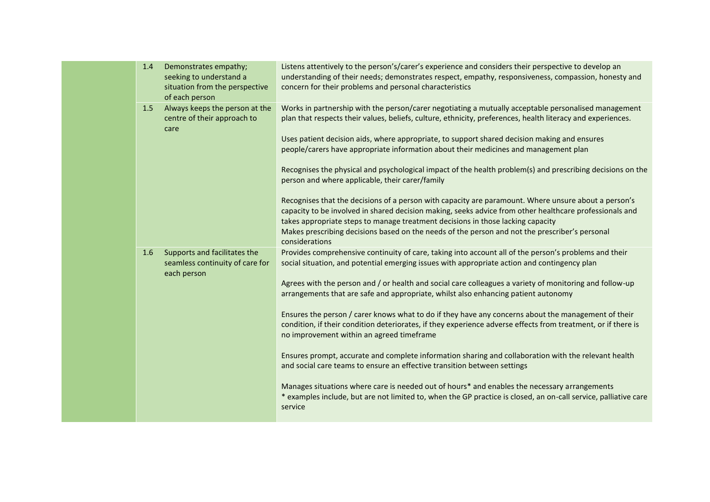| 1.4 | Demonstrates empathy;<br>seeking to understand a<br>situation from the perspective<br>of each person | Listens attentively to the person's/carer's experience and considers their perspective to develop an<br>understanding of their needs; demonstrates respect, empathy, responsiveness, compassion, honesty and<br>concern for their problems and personal characteristics                                                                                                                                                                                                                                                                                                                                                                                                                                                                                                                                                                                                                                                                                                                                                                                                                       |
|-----|------------------------------------------------------------------------------------------------------|-----------------------------------------------------------------------------------------------------------------------------------------------------------------------------------------------------------------------------------------------------------------------------------------------------------------------------------------------------------------------------------------------------------------------------------------------------------------------------------------------------------------------------------------------------------------------------------------------------------------------------------------------------------------------------------------------------------------------------------------------------------------------------------------------------------------------------------------------------------------------------------------------------------------------------------------------------------------------------------------------------------------------------------------------------------------------------------------------|
| 1.5 | Always keeps the person at the<br>centre of their approach to<br>care                                | Works in partnership with the person/carer negotiating a mutually acceptable personalised management<br>plan that respects their values, beliefs, culture, ethnicity, preferences, health literacy and experiences.<br>Uses patient decision aids, where appropriate, to support shared decision making and ensures<br>people/carers have appropriate information about their medicines and management plan<br>Recognises the physical and psychological impact of the health problem(s) and prescribing decisions on the<br>person and where applicable, their carer/family<br>Recognises that the decisions of a person with capacity are paramount. Where unsure about a person's<br>capacity to be involved in shared decision making, seeks advice from other healthcare professionals and<br>takes appropriate steps to manage treatment decisions in those lacking capacity<br>Makes prescribing decisions based on the needs of the person and not the prescriber's personal<br>considerations                                                                                        |
| 1.6 | Supports and facilitates the<br>seamless continuity of care for<br>each person                       | Provides comprehensive continuity of care, taking into account all of the person's problems and their<br>social situation, and potential emerging issues with appropriate action and contingency plan<br>Agrees with the person and / or health and social care colleagues a variety of monitoring and follow-up<br>arrangements that are safe and appropriate, whilst also enhancing patient autonomy<br>Ensures the person / carer knows what to do if they have any concerns about the management of their<br>condition, if their condition deteriorates, if they experience adverse effects from treatment, or if there is<br>no improvement within an agreed timeframe<br>Ensures prompt, accurate and complete information sharing and collaboration with the relevant health<br>and social care teams to ensure an effective transition between settings<br>Manages situations where care is needed out of hours* and enables the necessary arrangements<br>* examples include, but are not limited to, when the GP practice is closed, an on-call service, palliative care<br>service |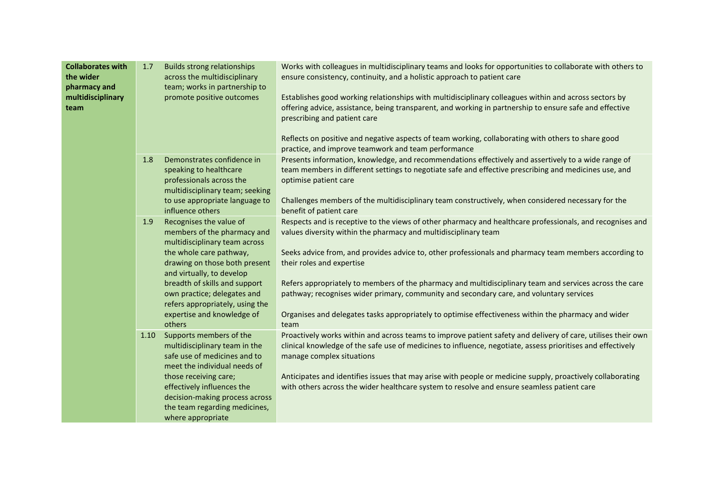| <b>Collaborates with</b><br>the wider<br>pharmacy and<br>multidisciplinary<br>team | 1.7  | <b>Builds strong relationships</b><br>across the multidisciplinary<br>team; works in partnership to<br>promote positive outcomes                                                                                                                                                                                            | Works with colleagues in multidisciplinary teams and looks for opportunities to collaborate with others to<br>ensure consistency, continuity, and a holistic approach to patient care<br>Establishes good working relationships with multidisciplinary colleagues within and across sectors by<br>offering advice, assistance, being transparent, and working in partnership to ensure safe and effective<br>prescribing and patient care<br>Reflects on positive and negative aspects of team working, collaborating with others to share good<br>practice, and improve teamwork and team performance                                  |
|------------------------------------------------------------------------------------|------|-----------------------------------------------------------------------------------------------------------------------------------------------------------------------------------------------------------------------------------------------------------------------------------------------------------------------------|-----------------------------------------------------------------------------------------------------------------------------------------------------------------------------------------------------------------------------------------------------------------------------------------------------------------------------------------------------------------------------------------------------------------------------------------------------------------------------------------------------------------------------------------------------------------------------------------------------------------------------------------|
|                                                                                    | 1.8  | Demonstrates confidence in<br>speaking to healthcare<br>professionals across the<br>multidisciplinary team; seeking<br>to use appropriate language to<br>influence others                                                                                                                                                   | Presents information, knowledge, and recommendations effectively and assertively to a wide range of<br>team members in different settings to negotiate safe and effective prescribing and medicines use, and<br>optimise patient care<br>Challenges members of the multidisciplinary team constructively, when considered necessary for the<br>benefit of patient care                                                                                                                                                                                                                                                                  |
|                                                                                    | 1.9  | Recognises the value of<br>members of the pharmacy and<br>multidisciplinary team across<br>the whole care pathway,<br>drawing on those both present<br>and virtually, to develop<br>breadth of skills and support<br>own practice; delegates and<br>refers appropriately, using the<br>expertise and knowledge of<br>others | Respects and is receptive to the views of other pharmacy and healthcare professionals, and recognises and<br>values diversity within the pharmacy and multidisciplinary team<br>Seeks advice from, and provides advice to, other professionals and pharmacy team members according to<br>their roles and expertise<br>Refers appropriately to members of the pharmacy and multidisciplinary team and services across the care<br>pathway; recognises wider primary, community and secondary care, and voluntary services<br>Organises and delegates tasks appropriately to optimise effectiveness within the pharmacy and wider<br>team |
|                                                                                    | 1.10 | Supports members of the<br>multidisciplinary team in the<br>safe use of medicines and to<br>meet the individual needs of<br>those receiving care;<br>effectively influences the<br>decision-making process across<br>the team regarding medicines,<br>where appropriate                                                     | Proactively works within and across teams to improve patient safety and delivery of care, utilises their own<br>clinical knowledge of the safe use of medicines to influence, negotiate, assess prioritises and effectively<br>manage complex situations<br>Anticipates and identifies issues that may arise with people or medicine supply, proactively collaborating<br>with others across the wider healthcare system to resolve and ensure seamless patient care                                                                                                                                                                    |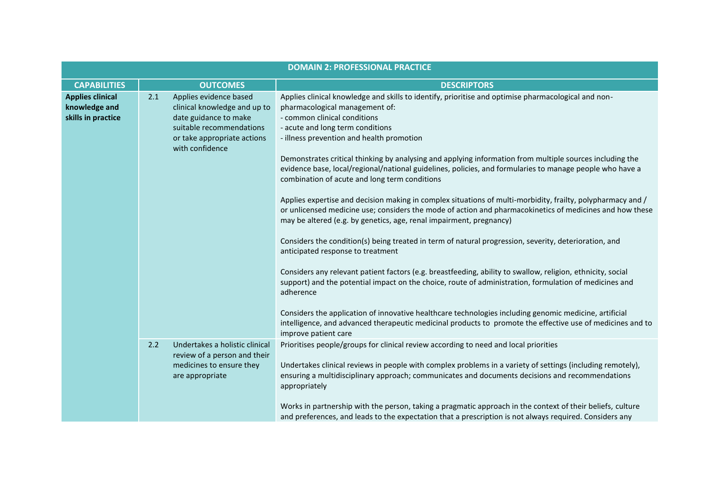| <b>DOMAIN 2: PROFESSIONAL PRACTICE</b>                         |     |                                                                                                                                                               |                                                                                                                                                                                                                                                                                                                                                                                                                                                                                                                                                                                                                                                                                                                                                                                                                                                                                                                                                                                                                                                                                                                                                                                                                                                                                                                                                                                                                                               |
|----------------------------------------------------------------|-----|---------------------------------------------------------------------------------------------------------------------------------------------------------------|-----------------------------------------------------------------------------------------------------------------------------------------------------------------------------------------------------------------------------------------------------------------------------------------------------------------------------------------------------------------------------------------------------------------------------------------------------------------------------------------------------------------------------------------------------------------------------------------------------------------------------------------------------------------------------------------------------------------------------------------------------------------------------------------------------------------------------------------------------------------------------------------------------------------------------------------------------------------------------------------------------------------------------------------------------------------------------------------------------------------------------------------------------------------------------------------------------------------------------------------------------------------------------------------------------------------------------------------------------------------------------------------------------------------------------------------------|
| <b>CAPABILITIES</b>                                            |     | <b>OUTCOMES</b>                                                                                                                                               | <b>DESCRIPTORS</b>                                                                                                                                                                                                                                                                                                                                                                                                                                                                                                                                                                                                                                                                                                                                                                                                                                                                                                                                                                                                                                                                                                                                                                                                                                                                                                                                                                                                                            |
| <b>Applies clinical</b><br>knowledge and<br>skills in practice | 2.1 | Applies evidence based<br>clinical knowledge and up to<br>date guidance to make<br>suitable recommendations<br>or take appropriate actions<br>with confidence | Applies clinical knowledge and skills to identify, prioritise and optimise pharmacological and non-<br>pharmacological management of:<br>- common clinical conditions<br>- acute and long term conditions<br>- illness prevention and health promotion<br>Demonstrates critical thinking by analysing and applying information from multiple sources including the<br>evidence base, local/regional/national guidelines, policies, and formularies to manage people who have a<br>combination of acute and long term conditions<br>Applies expertise and decision making in complex situations of multi-morbidity, frailty, polypharmacy and /<br>or unlicensed medicine use; considers the mode of action and pharmacokinetics of medicines and how these<br>may be altered (e.g. by genetics, age, renal impairment, pregnancy)<br>Considers the condition(s) being treated in term of natural progression, severity, deterioration, and<br>anticipated response to treatment<br>Considers any relevant patient factors (e.g. breastfeeding, ability to swallow, religion, ethnicity, social<br>support) and the potential impact on the choice, route of administration, formulation of medicines and<br>adherence<br>Considers the application of innovative healthcare technologies including genomic medicine, artificial<br>intelligence, and advanced therapeutic medicinal products to promote the effective use of medicines and to |
|                                                                | 2.2 | Undertakes a holistic clinical<br>review of a person and their<br>medicines to ensure they<br>are appropriate                                                 | improve patient care<br>Prioritises people/groups for clinical review according to need and local priorities<br>Undertakes clinical reviews in people with complex problems in a variety of settings (including remotely),<br>ensuring a multidisciplinary approach; communicates and documents decisions and recommendations<br>appropriately<br>Works in partnership with the person, taking a pragmatic approach in the context of their beliefs, culture<br>and preferences, and leads to the expectation that a prescription is not always required. Considers any                                                                                                                                                                                                                                                                                                                                                                                                                                                                                                                                                                                                                                                                                                                                                                                                                                                                       |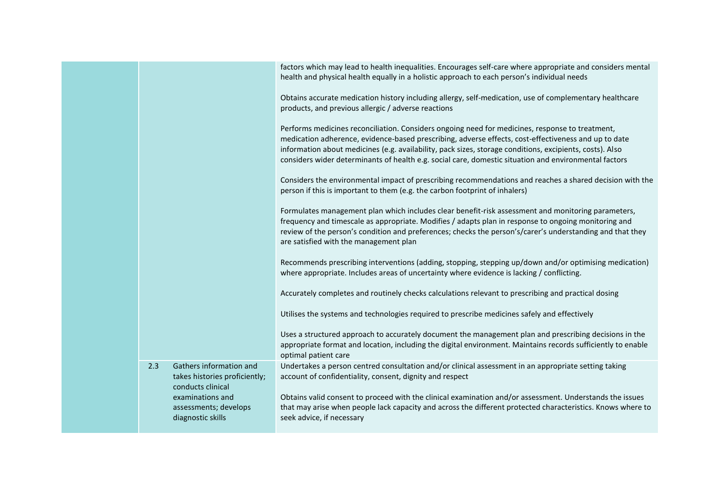|     |                                                                               | factors which may lead to health inequalities. Encourages self-care where appropriate and considers mental<br>health and physical health equally in a holistic approach to each person's individual needs                                                                                                                                                                                                                    |
|-----|-------------------------------------------------------------------------------|------------------------------------------------------------------------------------------------------------------------------------------------------------------------------------------------------------------------------------------------------------------------------------------------------------------------------------------------------------------------------------------------------------------------------|
|     |                                                                               | Obtains accurate medication history including allergy, self-medication, use of complementary healthcare<br>products, and previous allergic / adverse reactions                                                                                                                                                                                                                                                               |
|     |                                                                               | Performs medicines reconciliation. Considers ongoing need for medicines, response to treatment,<br>medication adherence, evidence-based prescribing, adverse effects, cost-effectiveness and up to date<br>information about medicines (e.g. availability, pack sizes, storage conditions, excipients, costs). Also<br>considers wider determinants of health e.g. social care, domestic situation and environmental factors |
|     |                                                                               | Considers the environmental impact of prescribing recommendations and reaches a shared decision with the<br>person if this is important to them (e.g. the carbon footprint of inhalers)                                                                                                                                                                                                                                      |
|     |                                                                               | Formulates management plan which includes clear benefit-risk assessment and monitoring parameters,<br>frequency and timescale as appropriate. Modifies / adapts plan in response to ongoing monitoring and<br>review of the person's condition and preferences; checks the person's/carer's understanding and that they<br>are satisfied with the management plan                                                            |
|     |                                                                               | Recommends prescribing interventions (adding, stopping, stepping up/down and/or optimising medication)<br>where appropriate. Includes areas of uncertainty where evidence is lacking / conflicting.                                                                                                                                                                                                                          |
|     |                                                                               | Accurately completes and routinely checks calculations relevant to prescribing and practical dosing                                                                                                                                                                                                                                                                                                                          |
|     |                                                                               | Utilises the systems and technologies required to prescribe medicines safely and effectively                                                                                                                                                                                                                                                                                                                                 |
|     |                                                                               | Uses a structured approach to accurately document the management plan and prescribing decisions in the<br>appropriate format and location, including the digital environment. Maintains records sufficiently to enable<br>optimal patient care                                                                                                                                                                               |
| 2.3 | Gathers information and<br>takes histories proficiently;<br>conducts clinical | Undertakes a person centred consultation and/or clinical assessment in an appropriate setting taking<br>account of confidentiality, consent, dignity and respect                                                                                                                                                                                                                                                             |
|     | examinations and<br>assessments; develops<br>diagnostic skills                | Obtains valid consent to proceed with the clinical examination and/or assessment. Understands the issues<br>that may arise when people lack capacity and across the different protected characteristics. Knows where to<br>seek advice, if necessary                                                                                                                                                                         |
|     |                                                                               |                                                                                                                                                                                                                                                                                                                                                                                                                              |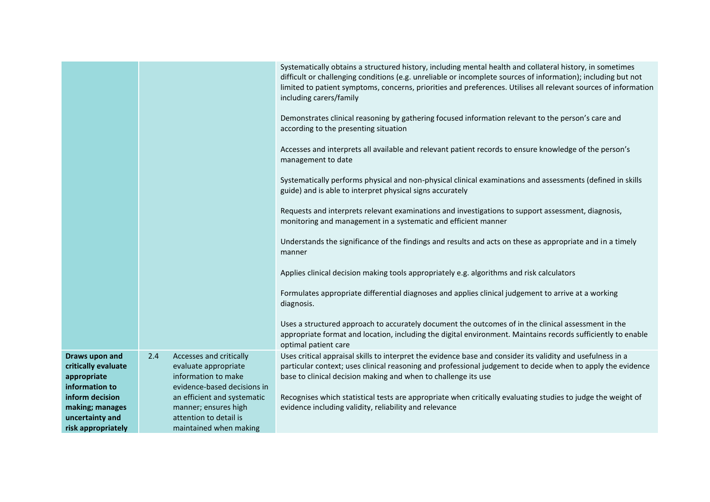|                                                                                                                                                       |                                                                                                                                                                                                                         | Systematically obtains a structured history, including mental health and collateral history, in sometimes<br>difficult or challenging conditions (e.g. unreliable or incomplete sources of information); including but not<br>limited to patient symptoms, concerns, priorities and preferences. Utilises all relevant sources of information<br>including carers/family<br>Demonstrates clinical reasoning by gathering focused information relevant to the person's care and<br>according to the presenting situation<br>Accesses and interprets all available and relevant patient records to ensure knowledge of the person's<br>management to date<br>Systematically performs physical and non-physical clinical examinations and assessments (defined in skills<br>guide) and is able to interpret physical signs accurately<br>Requests and interprets relevant examinations and investigations to support assessment, diagnosis,<br>monitoring and management in a systematic and efficient manner<br>Understands the significance of the findings and results and acts on these as appropriate and in a timely<br>manner<br>Applies clinical decision making tools appropriately e.g. algorithms and risk calculators<br>Formulates appropriate differential diagnoses and applies clinical judgement to arrive at a working<br>diagnosis.<br>Uses a structured approach to accurately document the outcomes of in the clinical assessment in the<br>appropriate format and location, including the digital environment. Maintains records sufficiently to enable<br>optimal patient care |
|-------------------------------------------------------------------------------------------------------------------------------------------------------|-------------------------------------------------------------------------------------------------------------------------------------------------------------------------------------------------------------------------|----------------------------------------------------------------------------------------------------------------------------------------------------------------------------------------------------------------------------------------------------------------------------------------------------------------------------------------------------------------------------------------------------------------------------------------------------------------------------------------------------------------------------------------------------------------------------------------------------------------------------------------------------------------------------------------------------------------------------------------------------------------------------------------------------------------------------------------------------------------------------------------------------------------------------------------------------------------------------------------------------------------------------------------------------------------------------------------------------------------------------------------------------------------------------------------------------------------------------------------------------------------------------------------------------------------------------------------------------------------------------------------------------------------------------------------------------------------------------------------------------------------------------------------------------------------------------------------------------|
| Draws upon and<br>critically evaluate<br>appropriate<br>information to<br>inform decision<br>making; manages<br>uncertainty and<br>risk appropriately | 2.4<br>Accesses and critically<br>evaluate appropriate<br>information to make<br>evidence-based decisions in<br>an efficient and systematic<br>manner; ensures high<br>attention to detail is<br>maintained when making | Uses critical appraisal skills to interpret the evidence base and consider its validity and usefulness in a<br>particular context; uses clinical reasoning and professional judgement to decide when to apply the evidence<br>base to clinical decision making and when to challenge its use<br>Recognises which statistical tests are appropriate when critically evaluating studies to judge the weight of<br>evidence including validity, reliability and relevance                                                                                                                                                                                                                                                                                                                                                                                                                                                                                                                                                                                                                                                                                                                                                                                                                                                                                                                                                                                                                                                                                                                             |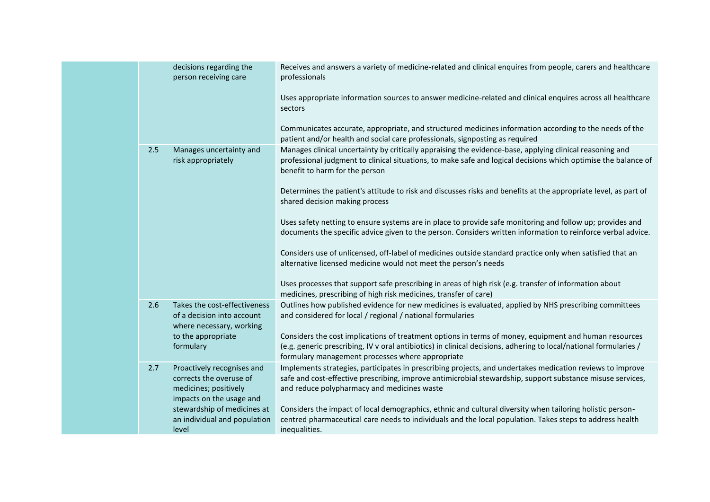|  |     | decisions regarding the<br>person receiving care                                                           | Receives and answers a variety of medicine-related and clinical enquires from people, carers and healthcare<br>professionals                                                                                                                                                   |
|--|-----|------------------------------------------------------------------------------------------------------------|--------------------------------------------------------------------------------------------------------------------------------------------------------------------------------------------------------------------------------------------------------------------------------|
|  |     |                                                                                                            | Uses appropriate information sources to answer medicine-related and clinical enquires across all healthcare<br>sectors                                                                                                                                                         |
|  |     |                                                                                                            | Communicates accurate, appropriate, and structured medicines information according to the needs of the<br>patient and/or health and social care professionals, signposting as required                                                                                         |
|  | 2.5 | Manages uncertainty and<br>risk appropriately                                                              | Manages clinical uncertainty by critically appraising the evidence-base, applying clinical reasoning and<br>professional judgment to clinical situations, to make safe and logical decisions which optimise the balance of<br>benefit to harm for the person                   |
|  |     |                                                                                                            | Determines the patient's attitude to risk and discusses risks and benefits at the appropriate level, as part of<br>shared decision making process                                                                                                                              |
|  |     |                                                                                                            | Uses safety netting to ensure systems are in place to provide safe monitoring and follow up; provides and<br>documents the specific advice given to the person. Considers written information to reinforce verbal advice.                                                      |
|  |     |                                                                                                            | Considers use of unlicensed, off-label of medicines outside standard practice only when satisfied that an<br>alternative licensed medicine would not meet the person's needs                                                                                                   |
|  |     |                                                                                                            | Uses processes that support safe prescribing in areas of high risk (e.g. transfer of information about<br>medicines, prescribing of high risk medicines, transfer of care)                                                                                                     |
|  | 2.6 | Takes the cost-effectiveness<br>of a decision into account<br>where necessary, working                     | Outlines how published evidence for new medicines is evaluated, applied by NHS prescribing committees<br>and considered for local / regional / national formularies                                                                                                            |
|  |     | to the appropriate<br>formulary                                                                            | Considers the cost implications of treatment options in terms of money, equipment and human resources<br>(e.g. generic prescribing, IV v oral antibiotics) in clinical decisions, adhering to local/national formularies /<br>formulary management processes where appropriate |
|  | 2.7 | Proactively recognises and<br>corrects the overuse of<br>medicines; positively<br>impacts on the usage and | Implements strategies, participates in prescribing projects, and undertakes medication reviews to improve<br>safe and cost-effective prescribing, improve antimicrobial stewardship, support substance misuse services,<br>and reduce polypharmacy and medicines waste         |
|  |     | stewardship of medicines at<br>an individual and population<br>level                                       | Considers the impact of local demographics, ethnic and cultural diversity when tailoring holistic person-<br>centred pharmaceutical care needs to individuals and the local population. Takes steps to address health<br>inequalities.                                         |
|  |     |                                                                                                            |                                                                                                                                                                                                                                                                                |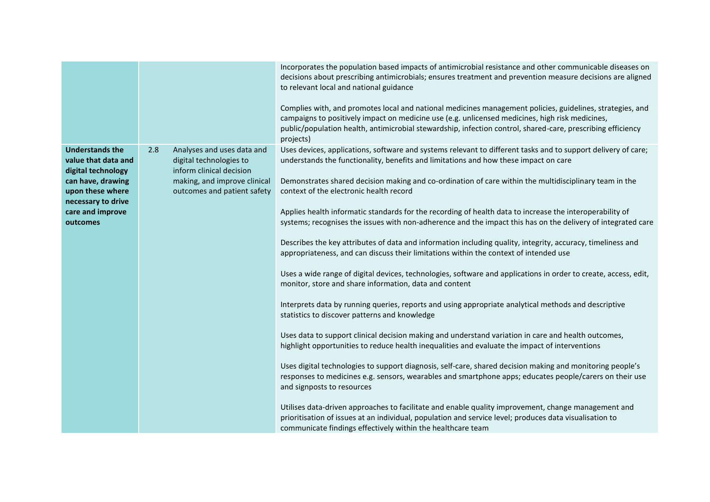|                                                                                                                                                                    |                                                                                                                                                         | Incorporates the population based impacts of antimicrobial resistance and other communicable diseases on<br>decisions about prescribing antimicrobials; ensures treatment and prevention measure decisions are aligned<br>to relevant local and national guidance<br>Complies with, and promotes local and national medicines management policies, guidelines, strategies, and<br>campaigns to positively impact on medicine use (e.g. unlicensed medicines, high risk medicines,<br>public/population health, antimicrobial stewardship, infection control, shared-care, prescribing efficiency<br>projects)                                                                                                                                                                                                                                                                                                                                                                                                                                                                                                                                                                                                                                                                                                                                                                                                                                                                                                                                                                                                                                                                                                                                                                                                                                                                        |
|--------------------------------------------------------------------------------------------------------------------------------------------------------------------|---------------------------------------------------------------------------------------------------------------------------------------------------------|--------------------------------------------------------------------------------------------------------------------------------------------------------------------------------------------------------------------------------------------------------------------------------------------------------------------------------------------------------------------------------------------------------------------------------------------------------------------------------------------------------------------------------------------------------------------------------------------------------------------------------------------------------------------------------------------------------------------------------------------------------------------------------------------------------------------------------------------------------------------------------------------------------------------------------------------------------------------------------------------------------------------------------------------------------------------------------------------------------------------------------------------------------------------------------------------------------------------------------------------------------------------------------------------------------------------------------------------------------------------------------------------------------------------------------------------------------------------------------------------------------------------------------------------------------------------------------------------------------------------------------------------------------------------------------------------------------------------------------------------------------------------------------------------------------------------------------------------------------------------------------------|
| <b>Understands the</b><br>value that data and<br>digital technology<br>can have, drawing<br>upon these where<br>necessary to drive<br>care and improve<br>outcomes | 2.8<br>Analyses and uses data and<br>digital technologies to<br>inform clinical decision<br>making, and improve clinical<br>outcomes and patient safety | Uses devices, applications, software and systems relevant to different tasks and to support delivery of care;<br>understands the functionality, benefits and limitations and how these impact on care<br>Demonstrates shared decision making and co-ordination of care within the multidisciplinary team in the<br>context of the electronic health record<br>Applies health informatic standards for the recording of health data to increase the interoperability of<br>systems; recognises the issues with non-adherence and the impact this has on the delivery of integrated care<br>Describes the key attributes of data and information including quality, integrity, accuracy, timeliness and<br>appropriateness, and can discuss their limitations within the context of intended use<br>Uses a wide range of digital devices, technologies, software and applications in order to create, access, edit,<br>monitor, store and share information, data and content<br>Interprets data by running queries, reports and using appropriate analytical methods and descriptive<br>statistics to discover patterns and knowledge<br>Uses data to support clinical decision making and understand variation in care and health outcomes,<br>highlight opportunities to reduce health inequalities and evaluate the impact of interventions<br>Uses digital technologies to support diagnosis, self-care, shared decision making and monitoring people's<br>responses to medicines e.g. sensors, wearables and smartphone apps; educates people/carers on their use<br>and signposts to resources<br>Utilises data-driven approaches to facilitate and enable quality improvement, change management and<br>prioritisation of issues at an individual, population and service level; produces data visualisation to<br>communicate findings effectively within the healthcare team |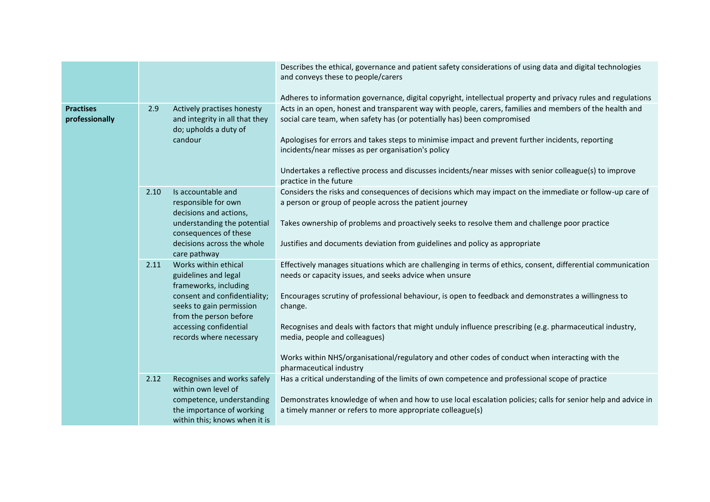|                                    |      |                                                                                                    | Describes the ethical, governance and patient safety considerations of using data and digital technologies<br>and conveys these to people/carers<br>Adheres to information governance, digital copyright, intellectual property and privacy rules and regulations                                                                                                                                                                                        |
|------------------------------------|------|----------------------------------------------------------------------------------------------------|----------------------------------------------------------------------------------------------------------------------------------------------------------------------------------------------------------------------------------------------------------------------------------------------------------------------------------------------------------------------------------------------------------------------------------------------------------|
| <b>Practises</b><br>professionally | 2.9  | Actively practises honesty<br>and integrity in all that they<br>do; upholds a duty of<br>candour   | Acts in an open, honest and transparent way with people, carers, families and members of the health and<br>social care team, when safety has (or potentially has) been compromised<br>Apologises for errors and takes steps to minimise impact and prevent further incidents, reporting<br>incidents/near misses as per organisation's policy<br>Undertakes a reflective process and discusses incidents/near misses with senior colleague(s) to improve |
|                                    |      |                                                                                                    | practice in the future                                                                                                                                                                                                                                                                                                                                                                                                                                   |
|                                    | 2.10 | Is accountable and<br>responsible for own<br>decisions and actions,<br>understanding the potential | Considers the risks and consequences of decisions which may impact on the immediate or follow-up care of<br>a person or group of people across the patient journey<br>Takes ownership of problems and proactively seeks to resolve them and challenge poor practice                                                                                                                                                                                      |
|                                    |      | consequences of these<br>decisions across the whole<br>care pathway                                | Justifies and documents deviation from guidelines and policy as appropriate                                                                                                                                                                                                                                                                                                                                                                              |
|                                    | 2.11 | Works within ethical<br>guidelines and legal<br>frameworks, including                              | Effectively manages situations which are challenging in terms of ethics, consent, differential communication<br>needs or capacity issues, and seeks advice when unsure                                                                                                                                                                                                                                                                                   |
|                                    |      | consent and confidentiality;<br>seeks to gain permission<br>from the person before                 | Encourages scrutiny of professional behaviour, is open to feedback and demonstrates a willingness to<br>change.                                                                                                                                                                                                                                                                                                                                          |
|                                    |      | accessing confidential<br>records where necessary                                                  | Recognises and deals with factors that might unduly influence prescribing (e.g. pharmaceutical industry,<br>media, people and colleagues)                                                                                                                                                                                                                                                                                                                |
|                                    |      |                                                                                                    | Works within NHS/organisational/regulatory and other codes of conduct when interacting with the<br>pharmaceutical industry                                                                                                                                                                                                                                                                                                                               |
|                                    | 2.12 | Recognises and works safely<br>within own level of                                                 | Has a critical understanding of the limits of own competence and professional scope of practice                                                                                                                                                                                                                                                                                                                                                          |
|                                    |      | competence, understanding<br>the importance of working<br>within this; knows when it is            | Demonstrates knowledge of when and how to use local escalation policies; calls for senior help and advice in<br>a timely manner or refers to more appropriate colleague(s)                                                                                                                                                                                                                                                                               |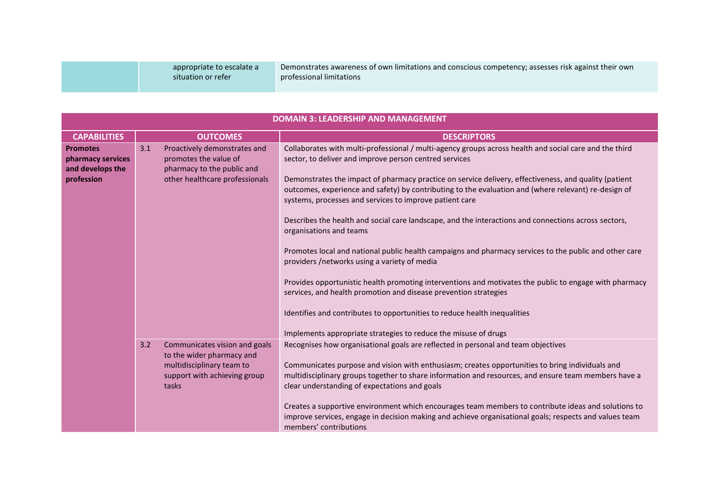| appropriate to escalate a | Demonstrates awareness of own limitations and conscious competency; assesses risk against their own |
|---------------------------|-----------------------------------------------------------------------------------------------------|
| situation or refer        | professional limitations                                                                            |
|                           |                                                                                                     |

| <b>DOMAIN 3: LEADERSHIP AND MANAGEMENT</b>                             |                                                                                                                              |                                                                                                                                                                                                                                                                                                                                                                                                                                                                                                                                                                                                                                                                                                                                                                                                                                                                                                                                                                                                      |  |  |
|------------------------------------------------------------------------|------------------------------------------------------------------------------------------------------------------------------|------------------------------------------------------------------------------------------------------------------------------------------------------------------------------------------------------------------------------------------------------------------------------------------------------------------------------------------------------------------------------------------------------------------------------------------------------------------------------------------------------------------------------------------------------------------------------------------------------------------------------------------------------------------------------------------------------------------------------------------------------------------------------------------------------------------------------------------------------------------------------------------------------------------------------------------------------------------------------------------------------|--|--|
| <b>CAPABILITIES</b>                                                    | <b>OUTCOMES</b>                                                                                                              | <b>DESCRIPTORS</b>                                                                                                                                                                                                                                                                                                                                                                                                                                                                                                                                                                                                                                                                                                                                                                                                                                                                                                                                                                                   |  |  |
| <b>Promotes</b><br>pharmacy services<br>and develops the<br>profession | 3.1<br>Proactively demonstrates and<br>promotes the value of<br>pharmacy to the public and<br>other healthcare professionals | Collaborates with multi-professional / multi-agency groups across health and social care and the third<br>sector, to deliver and improve person centred services<br>Demonstrates the impact of pharmacy practice on service delivery, effectiveness, and quality (patient<br>outcomes, experience and safety) by contributing to the evaluation and (where relevant) re-design of<br>systems, processes and services to improve patient care<br>Describes the health and social care landscape, and the interactions and connections across sectors,<br>organisations and teams<br>Promotes local and national public health campaigns and pharmacy services to the public and other care<br>providers /networks using a variety of media<br>Provides opportunistic health promoting interventions and motivates the public to engage with pharmacy<br>services, and health promotion and disease prevention strategies<br>Identifies and contributes to opportunities to reduce health inequalities |  |  |
|                                                                        | 3.2<br>Communicates vision and goals                                                                                         | Implements appropriate strategies to reduce the misuse of drugs<br>Recognises how organisational goals are reflected in personal and team objectives                                                                                                                                                                                                                                                                                                                                                                                                                                                                                                                                                                                                                                                                                                                                                                                                                                                 |  |  |
|                                                                        | to the wider pharmacy and<br>multidisciplinary team to<br>support with achieving group<br>tasks                              | Communicates purpose and vision with enthusiasm; creates opportunities to bring individuals and<br>multidisciplinary groups together to share information and resources, and ensure team members have a<br>clear understanding of expectations and goals<br>Creates a supportive environment which encourages team members to contribute ideas and solutions to<br>improve services, engage in decision making and achieve organisational goals; respects and values team<br>members' contributions                                                                                                                                                                                                                                                                                                                                                                                                                                                                                                  |  |  |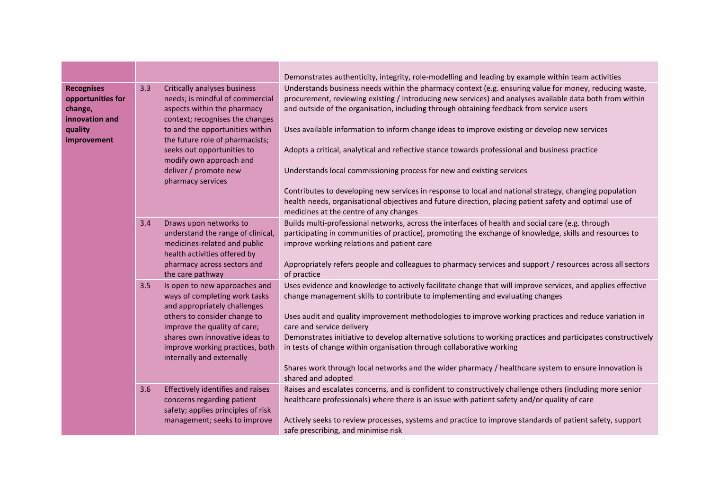|                                                                                               |     |                                                                                                                                                                                                                                                                                                                | Demonstrates authenticity, integrity, role-modelling and leading by example within team activities                                                                                                                                                                                                                                                                                                                                                                                                                                                                                                                                                                                                                                                                                                                                                        |
|-----------------------------------------------------------------------------------------------|-----|----------------------------------------------------------------------------------------------------------------------------------------------------------------------------------------------------------------------------------------------------------------------------------------------------------------|-----------------------------------------------------------------------------------------------------------------------------------------------------------------------------------------------------------------------------------------------------------------------------------------------------------------------------------------------------------------------------------------------------------------------------------------------------------------------------------------------------------------------------------------------------------------------------------------------------------------------------------------------------------------------------------------------------------------------------------------------------------------------------------------------------------------------------------------------------------|
| <b>Recognises</b><br>opportunities for<br>change,<br>innovation and<br>quality<br>improvement | 3.3 | Critically analyses business<br>needs; is mindful of commercial<br>aspects within the pharmacy<br>context; recognises the changes<br>to and the opportunities within<br>the future role of pharmacists;<br>seeks out opportunities to<br>modify own approach and<br>deliver / promote new<br>pharmacy services | Understands business needs within the pharmacy context (e.g. ensuring value for money, reducing waste,<br>procurement, reviewing existing / introducing new services) and analyses available data both from within<br>and outside of the organisation, including through obtaining feedback from service users<br>Uses available information to inform change ideas to improve existing or develop new services<br>Adopts a critical, analytical and reflective stance towards professional and business practice<br>Understands local commissioning process for new and existing services<br>Contributes to developing new services in response to local and national strategy, changing population<br>health needs, organisational objectives and future direction, placing patient safety and optimal use of<br>medicines at the centre of any changes |
|                                                                                               | 3.4 | Draws upon networks to<br>understand the range of clinical,<br>medicines-related and public<br>health activities offered by<br>pharmacy across sectors and<br>the care pathway                                                                                                                                 | Builds multi-professional networks, across the interfaces of health and social care (e.g. through<br>participating in communities of practice), promoting the exchange of knowledge, skills and resources to<br>improve working relations and patient care<br>Appropriately refers people and colleagues to pharmacy services and support / resources across all sectors<br>of practice                                                                                                                                                                                                                                                                                                                                                                                                                                                                   |
|                                                                                               | 3.5 | Is open to new approaches and<br>ways of completing work tasks<br>and appropriately challenges<br>others to consider change to<br>improve the quality of care;<br>shares own innovative ideas to<br>improve working practices, both<br>internally and externally                                               | Uses evidence and knowledge to actively facilitate change that will improve services, and applies effective<br>change management skills to contribute to implementing and evaluating changes<br>Uses audit and quality improvement methodologies to improve working practices and reduce variation in<br>care and service delivery<br>Demonstrates initiative to develop alternative solutions to working practices and participates constructively<br>in tests of change within organisation through collaborative working<br>Shares work through local networks and the wider pharmacy / healthcare system to ensure innovation is<br>shared and adopted                                                                                                                                                                                                |
|                                                                                               | 3.6 | Effectively identifies and raises<br>concerns regarding patient<br>safety; applies principles of risk<br>management; seeks to improve                                                                                                                                                                          | Raises and escalates concerns, and is confident to constructively challenge others (including more senior<br>healthcare professionals) where there is an issue with patient safety and/or quality of care<br>Actively seeks to review processes, systems and practice to improve standards of patient safety, support<br>safe prescribing, and minimise risk                                                                                                                                                                                                                                                                                                                                                                                                                                                                                              |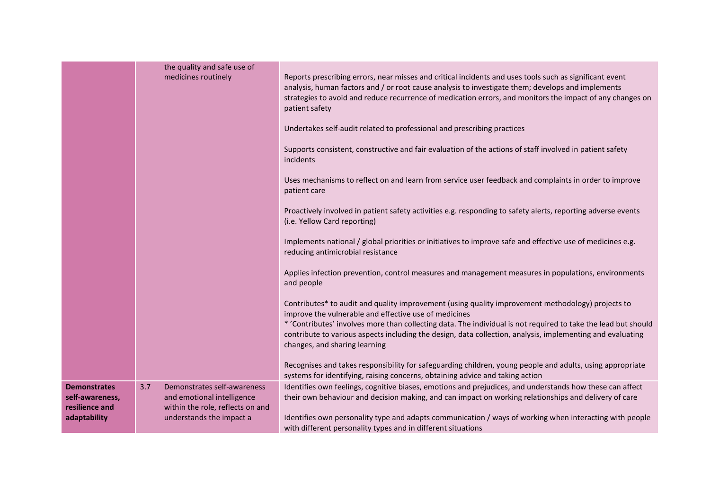|                                                                          | the quality and safe use of<br>medicines routinely                                                                               | Reports prescribing errors, near misses and critical incidents and uses tools such as significant event<br>analysis, human factors and / or root cause analysis to investigate them; develops and implements<br>strategies to avoid and reduce recurrence of medication errors, and monitors the impact of any changes on<br>patient safety<br>Undertakes self-audit related to professional and prescribing practices<br>Supports consistent, constructive and fair evaluation of the actions of staff involved in patient safety<br>incidents<br>Uses mechanisms to reflect on and learn from service user feedback and complaints in order to improve |
|--------------------------------------------------------------------------|----------------------------------------------------------------------------------------------------------------------------------|----------------------------------------------------------------------------------------------------------------------------------------------------------------------------------------------------------------------------------------------------------------------------------------------------------------------------------------------------------------------------------------------------------------------------------------------------------------------------------------------------------------------------------------------------------------------------------------------------------------------------------------------------------|
|                                                                          |                                                                                                                                  | patient care<br>Proactively involved in patient safety activities e.g. responding to safety alerts, reporting adverse events<br>(i.e. Yellow Card reporting)<br>Implements national / global priorities or initiatives to improve safe and effective use of medicines e.g.<br>reducing antimicrobial resistance<br>Applies infection prevention, control measures and management measures in populations, environments<br>and people                                                                                                                                                                                                                     |
|                                                                          |                                                                                                                                  | Contributes* to audit and quality improvement (using quality improvement methodology) projects to<br>improve the vulnerable and effective use of medicines<br>* 'Contributes' involves more than collecting data. The individual is not required to take the lead but should<br>contribute to various aspects including the design, data collection, analysis, implementing and evaluating<br>changes, and sharing learning<br>Recognises and takes responsibility for safeguarding children, young people and adults, using appropriate<br>systems for identifying, raising concerns, obtaining advice and taking action                                |
| <b>Demonstrates</b><br>self-awareness,<br>resilience and<br>adaptability | Demonstrates self-awareness<br>3.7<br>and emotional intelligence<br>within the role, reflects on and<br>understands the impact a | Identifies own feelings, cognitive biases, emotions and prejudices, and understands how these can affect<br>their own behaviour and decision making, and can impact on working relationships and delivery of care<br>Identifies own personality type and adapts communication / ways of working when interacting with people<br>with different personality types and in different situations                                                                                                                                                                                                                                                             |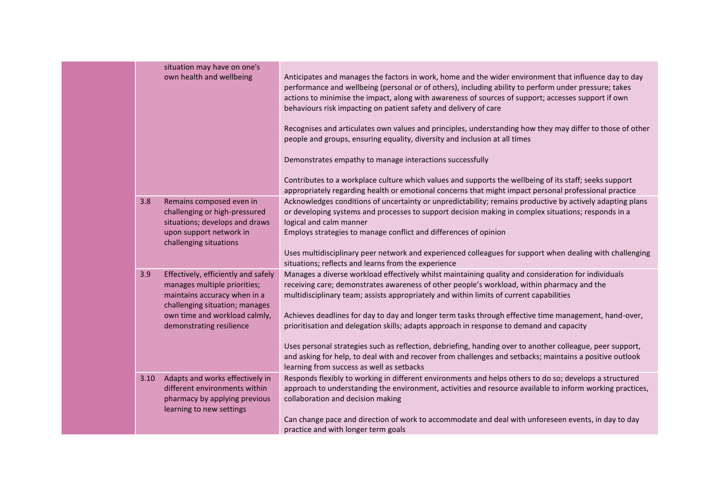|      | situation may have on one's<br>own health and wellbeing                                                                                                                                            | Anticipates and manages the factors in work, home and the wider environment that influence day to day<br>performance and wellbeing (personal or of others), including ability to perform under pressure; takes<br>actions to minimise the impact, along with awareness of sources of support; accesses support if own<br>behaviours risk impacting on patient safety and delivery of care<br>Recognises and articulates own values and principles, understanding how they may differ to those of other<br>people and groups, ensuring equality, diversity and inclusion at all times<br>Demonstrates empathy to manage interactions successfully<br>Contributes to a workplace culture which values and supports the wellbeing of its staff; seeks support              |
|------|----------------------------------------------------------------------------------------------------------------------------------------------------------------------------------------------------|-------------------------------------------------------------------------------------------------------------------------------------------------------------------------------------------------------------------------------------------------------------------------------------------------------------------------------------------------------------------------------------------------------------------------------------------------------------------------------------------------------------------------------------------------------------------------------------------------------------------------------------------------------------------------------------------------------------------------------------------------------------------------|
| 3.8  | Remains composed even in<br>challenging or high-pressured<br>situations; develops and draws<br>upon support network in<br>challenging situations                                                   | appropriately regarding health or emotional concerns that might impact personal professional practice<br>Acknowledges conditions of uncertainty or unpredictability; remains productive by actively adapting plans<br>or developing systems and processes to support decision making in complex situations; responds in a<br>logical and calm manner<br>Employs strategies to manage conflict and differences of opinion<br>Uses multidisciplinary peer network and experienced colleagues for support when dealing with challenging<br>situations; reflects and learns from the experience                                                                                                                                                                             |
| 3.9  | Effectively, efficiently and safely<br>manages multiple priorities;<br>maintains accuracy when in a<br>challenging situation; manages<br>own time and workload calmly,<br>demonstrating resilience | Manages a diverse workload effectively whilst maintaining quality and consideration for individuals<br>receiving care; demonstrates awareness of other people's workload, within pharmacy and the<br>multidisciplinary team; assists appropriately and within limits of current capabilities<br>Achieves deadlines for day to day and longer term tasks through effective time management, hand-over,<br>prioritisation and delegation skills; adapts approach in response to demand and capacity<br>Uses personal strategies such as reflection, debriefing, handing over to another colleague, peer support,<br>and asking for help, to deal with and recover from challenges and setbacks; maintains a positive outlook<br>learning from success as well as setbacks |
| 3.10 | Adapts and works effectively in<br>different environments within<br>pharmacy by applying previous<br>learning to new settings                                                                      | Responds flexibly to working in different environments and helps others to do so; develops a structured<br>approach to understanding the environment, activities and resource available to inform working practices,<br>collaboration and decision making<br>Can change pace and direction of work to accommodate and deal with unforeseen events, in day to day<br>practice and with longer term goals                                                                                                                                                                                                                                                                                                                                                                 |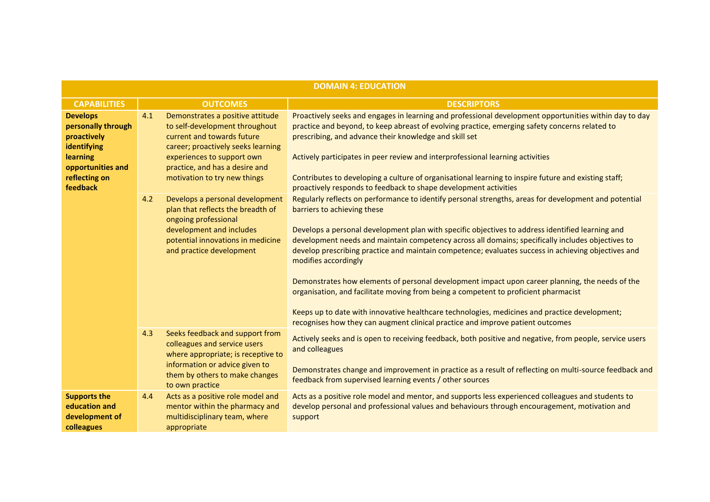| <b>DOMAIN 4: EDUCATION</b>                                                                                                        |     |                                                                                                                                                                                                                                        |                                                                                                                                                                                                                                                                                                                                                                                                                                                                                                                                                                                                                                                                                                                                                                                                                                                           |
|-----------------------------------------------------------------------------------------------------------------------------------|-----|----------------------------------------------------------------------------------------------------------------------------------------------------------------------------------------------------------------------------------------|-----------------------------------------------------------------------------------------------------------------------------------------------------------------------------------------------------------------------------------------------------------------------------------------------------------------------------------------------------------------------------------------------------------------------------------------------------------------------------------------------------------------------------------------------------------------------------------------------------------------------------------------------------------------------------------------------------------------------------------------------------------------------------------------------------------------------------------------------------------|
| <b>CAPABILITIES</b>                                                                                                               |     | <b>OUTCOMES</b>                                                                                                                                                                                                                        | <b>DESCRIPTORS</b>                                                                                                                                                                                                                                                                                                                                                                                                                                                                                                                                                                                                                                                                                                                                                                                                                                        |
| <b>Develops</b><br>personally through<br>proactively<br>identifying<br>learning<br>opportunities and<br>reflecting on<br>feedback | 4.1 | Demonstrates a positive attitude<br>to self-development throughout<br>current and towards future<br>career; proactively seeks learning<br>experiences to support own<br>practice, and has a desire and<br>motivation to try new things | Proactively seeks and engages in learning and professional development opportunities within day to day<br>practice and beyond, to keep abreast of evolving practice, emerging safety concerns related to<br>prescribing, and advance their knowledge and skill set<br>Actively participates in peer review and interprofessional learning activities<br>Contributes to developing a culture of organisational learning to inspire future and existing staff;<br>proactively responds to feedback to shape development activities                                                                                                                                                                                                                                                                                                                          |
|                                                                                                                                   | 4.2 | Develops a personal development<br>plan that reflects the breadth of<br>ongoing professional<br>development and includes<br>potential innovations in medicine<br>and practice development                                              | Regularly reflects on performance to identify personal strengths, areas for development and potential<br>barriers to achieving these<br>Develops a personal development plan with specific objectives to address identified learning and<br>development needs and maintain competency across all domains; specifically includes objectives to<br>develop prescribing practice and maintain competence; evaluates success in achieving objectives and<br>modifies accordingly<br>Demonstrates how elements of personal development impact upon career planning, the needs of the<br>organisation, and facilitate moving from being a competent to proficient pharmacist<br>Keeps up to date with innovative healthcare technologies, medicines and practice development;<br>recognises how they can augment clinical practice and improve patient outcomes |
|                                                                                                                                   | 4.3 | Seeks feedback and support from<br>colleagues and service users<br>where appropriate; is receptive to<br>information or advice given to<br>them by others to make changes<br>to own practice                                           | Actively seeks and is open to receiving feedback, both positive and negative, from people, service users<br>and colleagues<br>Demonstrates change and improvement in practice as a result of reflecting on multi-source feedback and<br>feedback from supervised learning events / other sources                                                                                                                                                                                                                                                                                                                                                                                                                                                                                                                                                          |
| <b>Supports the</b><br>education and<br>development of<br>colleagues                                                              | 4.4 | Acts as a positive role model and<br>mentor within the pharmacy and<br>multidisciplinary team, where<br>appropriate                                                                                                                    | Acts as a positive role model and mentor, and supports less experienced colleagues and students to<br>develop personal and professional values and behaviours through encouragement, motivation and<br>support                                                                                                                                                                                                                                                                                                                                                                                                                                                                                                                                                                                                                                            |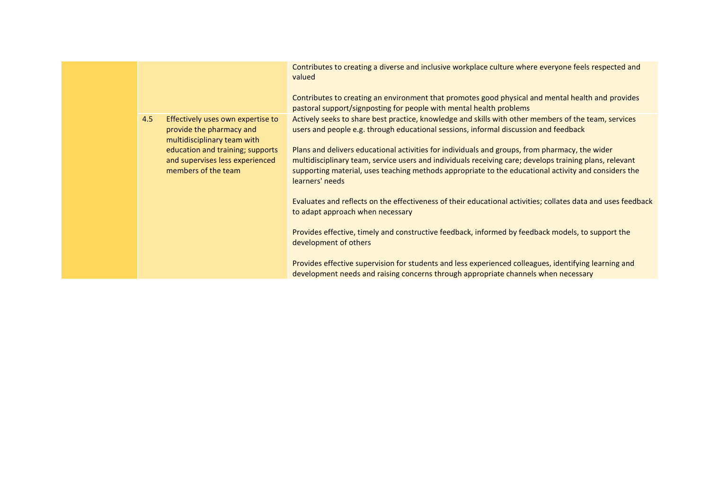|     |                                                                                              | Contributes to creating a diverse and inclusive workplace culture where everyone feels respected and<br>valued<br>Contributes to creating an environment that promotes good physical and mental health and provides                                                                                                                  |
|-----|----------------------------------------------------------------------------------------------|--------------------------------------------------------------------------------------------------------------------------------------------------------------------------------------------------------------------------------------------------------------------------------------------------------------------------------------|
|     |                                                                                              | pastoral support/signposting for people with mental health problems                                                                                                                                                                                                                                                                  |
| 4.5 | Effectively uses own expertise to<br>provide the pharmacy and<br>multidisciplinary team with | Actively seeks to share best practice, knowledge and skills with other members of the team, services<br>users and people e.g. through educational sessions, informal discussion and feedback                                                                                                                                         |
|     | education and training; supports<br>and supervises less experienced<br>members of the team   | Plans and delivers educational activities for individuals and groups, from pharmacy, the wider<br>multidisciplinary team, service users and individuals receiving care; develops training plans, relevant<br>supporting material, uses teaching methods appropriate to the educational activity and considers the<br>learners' needs |
|     |                                                                                              | Evaluates and reflects on the effectiveness of their educational activities; collates data and uses feedback<br>to adapt approach when necessary                                                                                                                                                                                     |
|     |                                                                                              | Provides effective, timely and constructive feedback, informed by feedback models, to support the<br>development of others                                                                                                                                                                                                           |
|     |                                                                                              | Provides effective supervision for students and less experienced colleagues, identifying learning and<br>development needs and raising concerns through appropriate channels when necessary                                                                                                                                          |